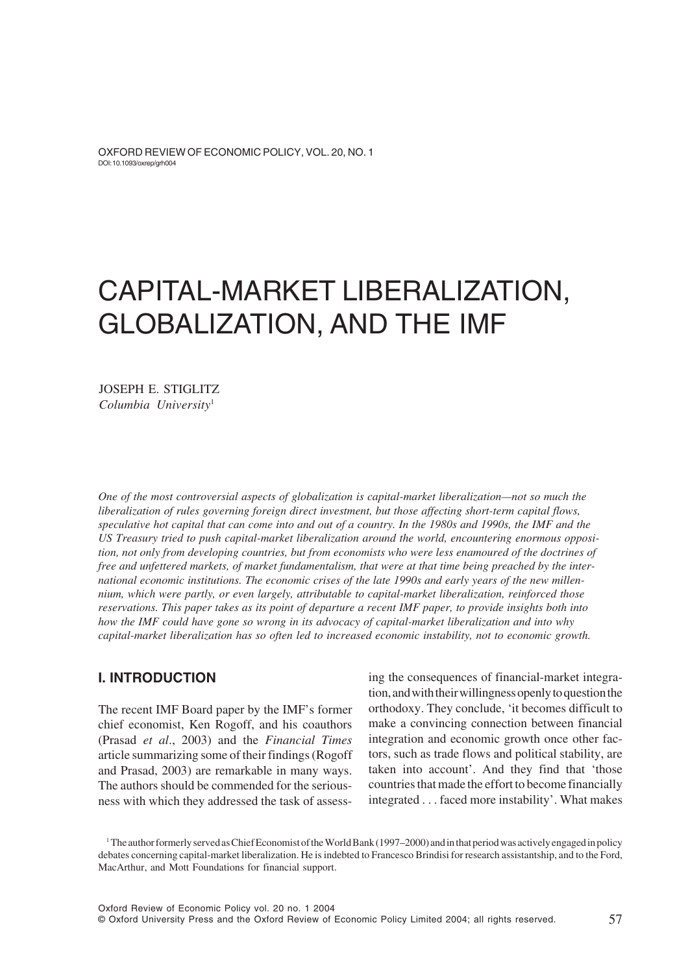OXFORD REVIEW OF ECONOMIC POLICY, VOL. 20, NO. 1 DOI: 10.1093/oxrep/grh004

# CAPITAL-MARKET LIBERALIZATION, GLOBALIZATION, AND THE IMF

JOSEPH E. STIGLITZ *Columbia University*<sup>1</sup>

*One of the most controversial aspects of globalization is capital-market liberalization—not so much the liberalization of rules governing foreign direct investment, but those affecting short-term capital flows, speculative hot capital that can come into and out of a country. In the 1980s and 1990s, the IMF and the US Treasury tried to push capital-market liberalization around the world, encountering enormous opposition, not only from developing countries, but from economists who were less enamoured of the doctrines of free and unfettered markets, of market fundamentalism, that were at that time being preached by the international economic institutions. The economic crises of the late 1990s and early years of the new millennium, which were partly, or even largely, attributable to capital-market liberalization, reinforced those reservations. This paper takes as its point of departure a recent IMF paper, to provide insights both into how the IMF could have gone so wrong in its advocacy of capital-market liberalization and into why capital-market liberalization has so often led to increased economic instability, not to economic growth.*

## **I. INTRODUCTION**

The recent IMF Board paper by the IMF's former chief economist, Ken Rogoff, and his coauthors (Prasad *et al*., 2003) and the *Financial Times* article summarizing some of their findings (Rogoff and Prasad, 2003) are remarkable in many ways. The authors should be commended for the seriousness with which they addressed the task of assessing the consequences of financial-market integration, and with their willingness openly to question the orthodoxy. They conclude, 'it becomes difficult to make a convincing connection between financial integration and economic growth once other factors, such as trade flows and political stability, are taken into account'. And they find that 'those countries that made the effort to become financially integrated . . . faced more instability'. What makes

1 The author formerly served as Chief Economist of the World Bank (1997–2000) and in that period was actively engaged in policy debates concerning capital-market liberalization. He is indebted to Francesco Brindisi for research assistantship, and to the Ford, MacArthur, and Mott Foundations for financial support.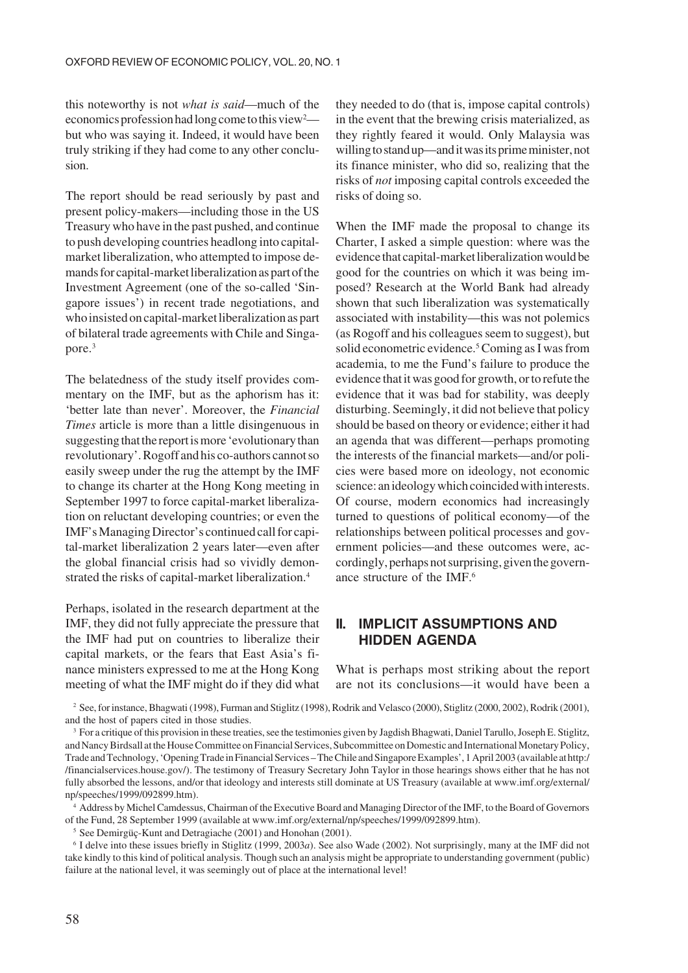this noteworthy is not *what is said*—much of the economics profession had long come to this view<sup>2</sup> but who was saying it. Indeed, it would have been truly striking if they had come to any other conclusion.

The report should be read seriously by past and present policy-makers—including those in the US Treasury who have in the past pushed, and continue to push developing countries headlong into capitalmarket liberalization, who attempted to impose demands for capital-market liberalization as part of the Investment Agreement (one of the so-called 'Singapore issues') in recent trade negotiations, and who insisted on capital-market liberalization as part of bilateral trade agreements with Chile and Singapore.3

The belatedness of the study itself provides commentary on the IMF, but as the aphorism has it: 'better late than never'. Moreover, the *Financial Times* article is more than a little disingenuous in suggesting that the report is more 'evolutionary than revolutionary'. Rogoff and his co-authors cannot so easily sweep under the rug the attempt by the IMF to change its charter at the Hong Kong meeting in September 1997 to force capital-market liberalization on reluctant developing countries; or even the IMF's Managing Director's continued call for capital-market liberalization 2 years later—even after the global financial crisis had so vividly demonstrated the risks of capital-market liberalization.4

Perhaps, isolated in the research department at the IMF, they did not fully appreciate the pressure that the IMF had put on countries to liberalize their capital markets, or the fears that East Asia's finance ministers expressed to me at the Hong Kong meeting of what the IMF might do if they did what

they needed to do (that is, impose capital controls) in the event that the brewing crisis materialized, as they rightly feared it would. Only Malaysia was willing to stand up—and it was its prime minister, not its finance minister, who did so, realizing that the risks of *not* imposing capital controls exceeded the risks of doing so.

When the IMF made the proposal to change its Charter, I asked a simple question: where was the evidence that capital-market liberalization would be good for the countries on which it was being imposed? Research at the World Bank had already shown that such liberalization was systematically associated with instability—this was not polemics (as Rogoff and his colleagues seem to suggest), but solid econometric evidence.<sup>5</sup> Coming as I was from academia, to me the Fund's failure to produce the evidence that it was good for growth, or to refute the evidence that it was bad for stability, was deeply disturbing. Seemingly, it did not believe that policy should be based on theory or evidence; either it had an agenda that was different—perhaps promoting the interests of the financial markets—and/or policies were based more on ideology, not economic science: an ideology which coincided with interests. Of course, modern economics had increasingly turned to questions of political economy—of the relationships between political processes and government policies—and these outcomes were, accordingly, perhaps not surprising, given the governance structure of the IMF.6

# **II. IMPLICIT ASSUMPTIONS AND HIDDEN AGENDA**

What is perhaps most striking about the report are not its conclusions—it would have been a

<sup>2</sup> See, for instance, Bhagwati (1998), Furman and Stiglitz (1998), Rodrik and Velasco (2000), Stiglitz (2000, 2002), Rodrik (2001), and the host of papers cited in those studies.

<sup>4</sup> Address by Michel Camdessus, Chairman of the Executive Board and Managing Director of the IMF, to the Board of Governors of the Fund, 28 September 1999 (available at www.imf.org/external/np/speeches/1999/092899.htm).

<sup>5</sup> See Demirgüç-Kunt and Detragiache (2001) and Honohan (2001).

<sup>6</sup> I delve into these issues briefly in Stiglitz (1999, 2003*a*). See also Wade (2002). Not surprisingly, many at the IMF did not take kindly to this kind of political analysis. Though such an analysis might be appropriate to understanding government (public) failure at the national level, it was seemingly out of place at the international level!

<sup>&</sup>lt;sup>3</sup> For a critique of this provision in these treaties, see the testimonies given by Jagdish Bhagwati, Daniel Tarullo, Joseph E. Stiglitz, and Nancy Birdsall at the House Committee on Financial Services, Subcommittee on Domestic and International Monetary Policy, Trade and Technology, 'Opening Trade in Financial Services – The Chile and Singapore Examples', 1 April 2003 (available at http:/ /financialservices.house.gov/). The testimony of Treasury Secretary John Taylor in those hearings shows either that he has not fully absorbed the lessons, and/or that ideology and interests still dominate at US Treasury (available at www.imf.org/external/ np/speeches/1999/092899.htm).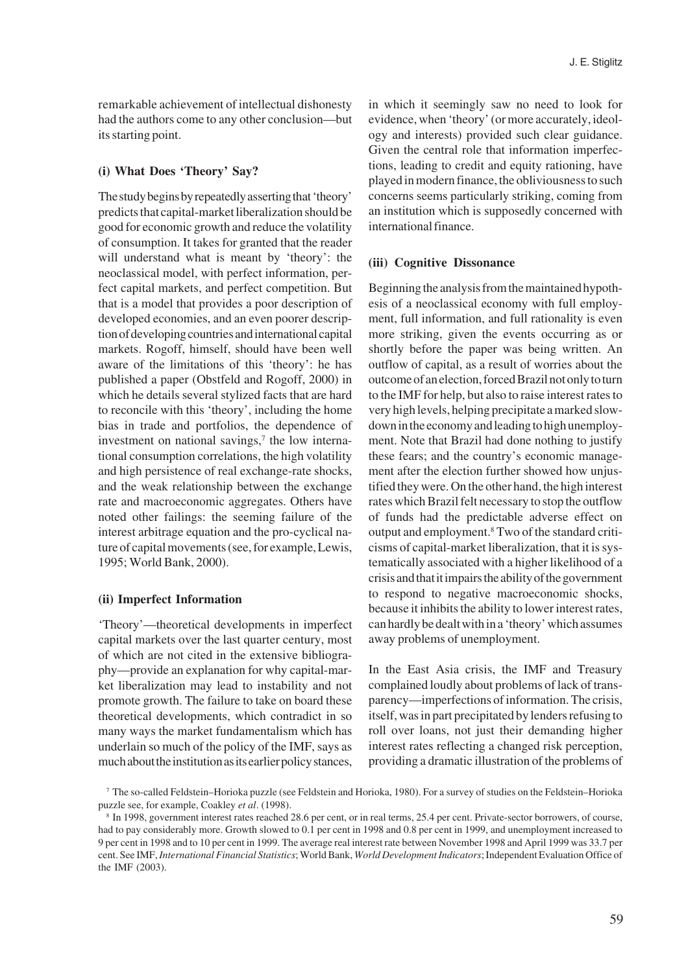remarkable achievement of intellectual dishonesty had the authors come to any other conclusion—but its starting point.

#### **(i) What Does 'Theory' Say?**

The study begins by repeatedly asserting that 'theory' predicts that capital-market liberalization should be good for economic growth and reduce the volatility of consumption. It takes for granted that the reader will understand what is meant by 'theory': the neoclassical model, with perfect information, perfect capital markets, and perfect competition. But that is a model that provides a poor description of developed economies, and an even poorer description of developing countries and international capital markets. Rogoff, himself, should have been well aware of the limitations of this 'theory': he has published a paper (Obstfeld and Rogoff, 2000) in which he details several stylized facts that are hard to reconcile with this 'theory', including the home bias in trade and portfolios, the dependence of investment on national savings,<sup>7</sup> the low international consumption correlations, the high volatility and high persistence of real exchange-rate shocks, and the weak relationship between the exchange rate and macroeconomic aggregates. Others have noted other failings: the seeming failure of the interest arbitrage equation and the pro-cyclical nature of capital movements (see, for example, Lewis, 1995; World Bank, 2000).

#### **(ii) Imperfect Information**

'Theory'—theoretical developments in imperfect capital markets over the last quarter century, most of which are not cited in the extensive bibliography—provide an explanation for why capital-market liberalization may lead to instability and not promote growth. The failure to take on board these theoretical developments, which contradict in so many ways the market fundamentalism which has underlain so much of the policy of the IMF, says as much about the institution as its earlier policy stances,

in which it seemingly saw no need to look for evidence, when 'theory' (or more accurately, ideology and interests) provided such clear guidance. Given the central role that information imperfections, leading to credit and equity rationing, have played in modern finance, the obliviousness to such concerns seems particularly striking, coming from an institution which is supposedly concerned with international finance.

#### **(iii) Cognitive Dissonance**

Beginning the analysis from the maintained hypothesis of a neoclassical economy with full employment, full information, and full rationality is even more striking, given the events occurring as or shortly before the paper was being written. An outflow of capital, as a result of worries about the outcome of an election, forced Brazil not only to turn to the IMF for help, but also to raise interest rates to very high levels, helping precipitate a marked slowdown in the economy and leading to high unemployment. Note that Brazil had done nothing to justify these fears; and the country's economic management after the election further showed how unjustified they were. On the other hand, the high interest rates which Brazil felt necessary to stop the outflow of funds had the predictable adverse effect on output and employment.<sup>8</sup> Two of the standard criticisms of capital-market liberalization, that it is systematically associated with a higher likelihood of a crisis and that it impairs the ability of the government to respond to negative macroeconomic shocks, because it inhibits the ability to lower interest rates, can hardly be dealt with in a 'theory' which assumes away problems of unemployment.

In the East Asia crisis, the IMF and Treasury complained loudly about problems of lack of transparency—imperfections of information. The crisis, itself, was in part precipitated by lenders refusing to roll over loans, not just their demanding higher interest rates reflecting a changed risk perception, providing a dramatic illustration of the problems of

<sup>7</sup> The so-called Feldstein–Horioka puzzle (see Feldstein and Horioka, 1980). For a survey of studies on the Feldstein–Horioka puzzle see, for example, Coakley *et al*. (1998).

<sup>8</sup> In 1998, government interest rates reached 28.6 per cent, or in real terms, 25.4 per cent. Private-sector borrowers, of course, had to pay considerably more. Growth slowed to 0.1 per cent in 1998 and 0.8 per cent in 1999, and unemployment increased to 9 per cent in 1998 and to 10 per cent in 1999. The average real interest rate between November 1998 and April 1999 was 33.7 per cent. See IMF, *International Financial Statistics*; World Bank, *World Development Indicators*; Independent Evaluation Office of the IMF (2003).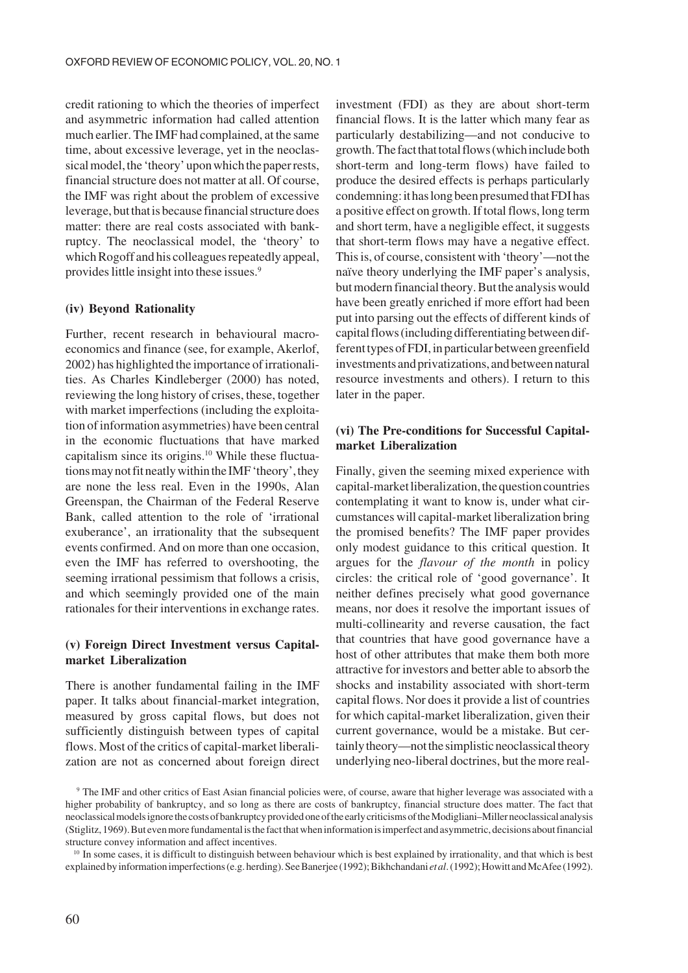credit rationing to which the theories of imperfect and asymmetric information had called attention much earlier. The IMF had complained, at the same time, about excessive leverage, yet in the neoclassical model, the 'theory' upon which the paper rests, financial structure does not matter at all. Of course, the IMF was right about the problem of excessive leverage, but that is because financial structure does matter: there are real costs associated with bankruptcy. The neoclassical model, the 'theory' to which Rogoff and his colleagues repeatedly appeal, provides little insight into these issues.9

#### **(iv) Beyond Rationality**

Further, recent research in behavioural macroeconomics and finance (see, for example, Akerlof, 2002) has highlighted the importance of irrationalities. As Charles Kindleberger (2000) has noted, reviewing the long history of crises, these, together with market imperfections (including the exploitation of information asymmetries) have been central in the economic fluctuations that have marked capitalism since its origins.10 While these fluctuations may not fit neatly within the IMF 'theory', they are none the less real. Even in the 1990s, Alan Greenspan, the Chairman of the Federal Reserve Bank, called attention to the role of 'irrational exuberance', an irrationality that the subsequent events confirmed. And on more than one occasion, even the IMF has referred to overshooting, the seeming irrational pessimism that follows a crisis, and which seemingly provided one of the main rationales for their interventions in exchange rates.

#### **(v) Foreign Direct Investment versus Capitalmarket Liberalization**

There is another fundamental failing in the IMF paper. It talks about financial-market integration, measured by gross capital flows, but does not sufficiently distinguish between types of capital flows. Most of the critics of capital-market liberalization are not as concerned about foreign direct investment (FDI) as they are about short-term financial flows. It is the latter which many fear as particularly destabilizing—and not conducive to growth. The fact that total flows (which include both short-term and long-term flows) have failed to produce the desired effects is perhaps particularly condemning: it has long been presumed that FDI has a positive effect on growth. If total flows, long term and short term, have a negligible effect, it suggests that short-term flows may have a negative effect. This is, of course, consistent with 'theory'—not the naïve theory underlying the IMF paper's analysis, but modern financial theory. But the analysis would have been greatly enriched if more effort had been put into parsing out the effects of different kinds of capital flows (including differentiating between different types of FDI, in particular between greenfield investments and privatizations, and between natural resource investments and others). I return to this later in the paper.

## **(vi) The Pre-conditions for Successful Capitalmarket Liberalization**

Finally, given the seeming mixed experience with capital-market liberalization, the question countries contemplating it want to know is, under what circumstances will capital-market liberalization bring the promised benefits? The IMF paper provides only modest guidance to this critical question. It argues for the *flavour of the month* in policy circles: the critical role of 'good governance'. It neither defines precisely what good governance means, nor does it resolve the important issues of multi-collinearity and reverse causation, the fact that countries that have good governance have a host of other attributes that make them both more attractive for investors and better able to absorb the shocks and instability associated with short-term capital flows. Nor does it provide a list of countries for which capital-market liberalization, given their current governance, would be a mistake. But certainly theory—not the simplistic neoclassical theory underlying neo-liberal doctrines, but the more real-

 $10$  In some cases, it is difficult to distinguish between behaviour which is best explained by irrationality, and that which is best explained by information imperfections (e.g. herding). See Banerjee (1992); Bikhchandani *et al*. (1992); Howitt and McAfee (1992).

<sup>9</sup> The IMF and other critics of East Asian financial policies were, of course, aware that higher leverage was associated with a higher probability of bankruptcy, and so long as there are costs of bankruptcy, financial structure does matter. The fact that neoclassical models ignore the costs of bankruptcy provided one of the early criticisms of the Modigliani–Miller neoclassical analysis (Stiglitz, 1969). But even more fundamental is the fact that when information is imperfect and asymmetric, decisions about financial structure convey information and affect incentives.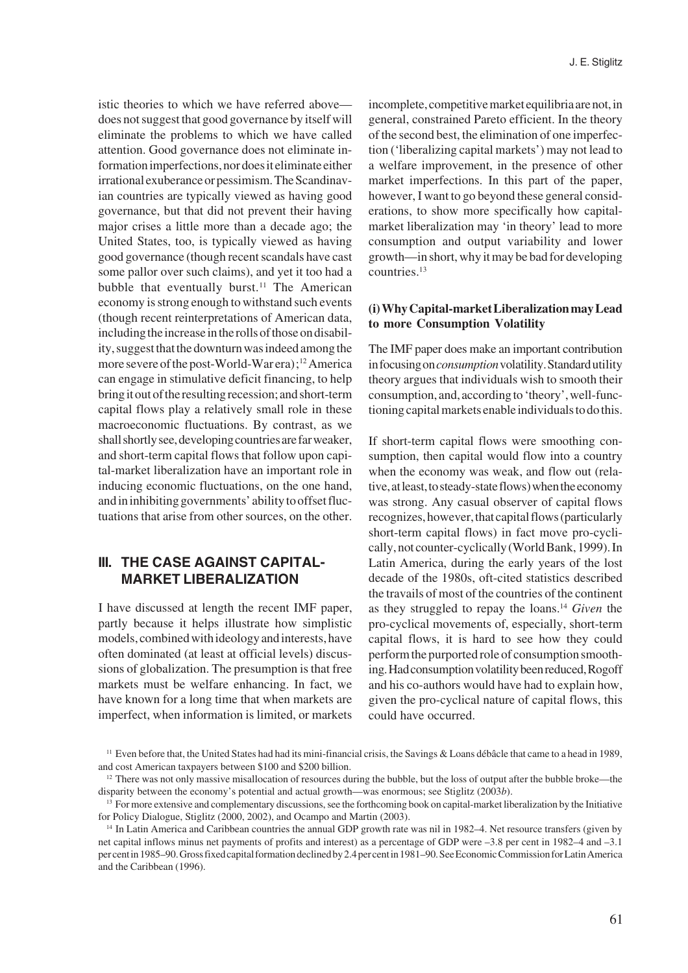istic theories to which we have referred above does not suggest that good governance by itself will eliminate the problems to which we have called attention. Good governance does not eliminate information imperfections, nor does it eliminate either irrational exuberance or pessimism. The Scandinavian countries are typically viewed as having good governance, but that did not prevent their having major crises a little more than a decade ago; the United States, too, is typically viewed as having good governance (though recent scandals have cast some pallor over such claims), and yet it too had a bubble that eventually burst.<sup>11</sup> The American economy is strong enough to withstand such events (though recent reinterpretations of American data, including the increase in the rolls of those on disability, suggest that the downturn was indeed among the more severe of the post-World-War era); 12 America can engage in stimulative deficit financing, to help bring it out of the resulting recession; and short-term capital flows play a relatively small role in these macroeconomic fluctuations. By contrast, as we shall shortly see, developing countries are far weaker, and short-term capital flows that follow upon capital-market liberalization have an important role in inducing economic fluctuations, on the one hand, and in inhibiting governments' ability to offset fluctuations that arise from other sources, on the other.

# **III. THE CASE AGAINST CAPITAL-MARKET LIBERALIZATION**

I have discussed at length the recent IMF paper, partly because it helps illustrate how simplistic models, combined with ideology and interests, have often dominated (at least at official levels) discussions of globalization. The presumption is that free markets must be welfare enhancing. In fact, we have known for a long time that when markets are imperfect, when information is limited, or markets

incomplete, competitive market equilibria are not, in general, constrained Pareto efficient. In the theory of the second best, the elimination of one imperfection ('liberalizing capital markets') may not lead to a welfare improvement, in the presence of other market imperfections. In this part of the paper, however, I want to go beyond these general considerations, to show more specifically how capitalmarket liberalization may 'in theory' lead to more consumption and output variability and lower growth—in short, why it may be bad for developing countries.13

### **(i) Why Capital-market Liberalization may Lead to more Consumption Volatility**

The IMF paper does make an important contribution in focusing on *consumption* volatility. Standard utility theory argues that individuals wish to smooth their consumption, and, according to 'theory', well-functioning capital markets enable individuals to do this.

If short-term capital flows were smoothing consumption, then capital would flow into a country when the economy was weak, and flow out (relative, at least, to steady-state flows) when the economy was strong. Any casual observer of capital flows recognizes, however, that capital flows (particularly short-term capital flows) in fact move pro-cyclically, not counter-cyclically (World Bank, 1999). In Latin America, during the early years of the lost decade of the 1980s, oft-cited statistics described the travails of most of the countries of the continent as they struggled to repay the loans.14 *Given* the pro-cyclical movements of, especially, short-term capital flows, it is hard to see how they could perform the purported role of consumption smoothing. Had consumption volatility been reduced,Rogoff and his co-authors would have had to explain how, given the pro-cyclical nature of capital flows, this could have occurred.

<sup>&</sup>lt;sup>11</sup> Even before that, the United States had had its mini-financial crisis, the Savings & Loans débâcle that came to a head in 1989, and cost American taxpayers between \$100 and \$200 billion.

 $12$  There was not only massive misallocation of resources during the bubble, but the loss of output after the bubble broke—the disparity between the economy's potential and actual growth—was enormous; see Stiglitz (2003*b*).

<sup>&</sup>lt;sup>13</sup> For more extensive and complementary discussions, see the forthcoming book on capital-market liberalization by the Initiative for Policy Dialogue, Stiglitz (2000, 2002), and Ocampo and Martin (2003).

<sup>&</sup>lt;sup>14</sup> In Latin America and Caribbean countries the annual GDP growth rate was nil in 1982–4. Net resource transfers (given by net capital inflows minus net payments of profits and interest) as a percentage of GDP were –3.8 per cent in 1982–4 and –3.1 per cent in 1985–90. Gross fixed capital formation declined by 2.4 per cent in 1981–90. See Economic Commission for Latin America and the Caribbean (1996).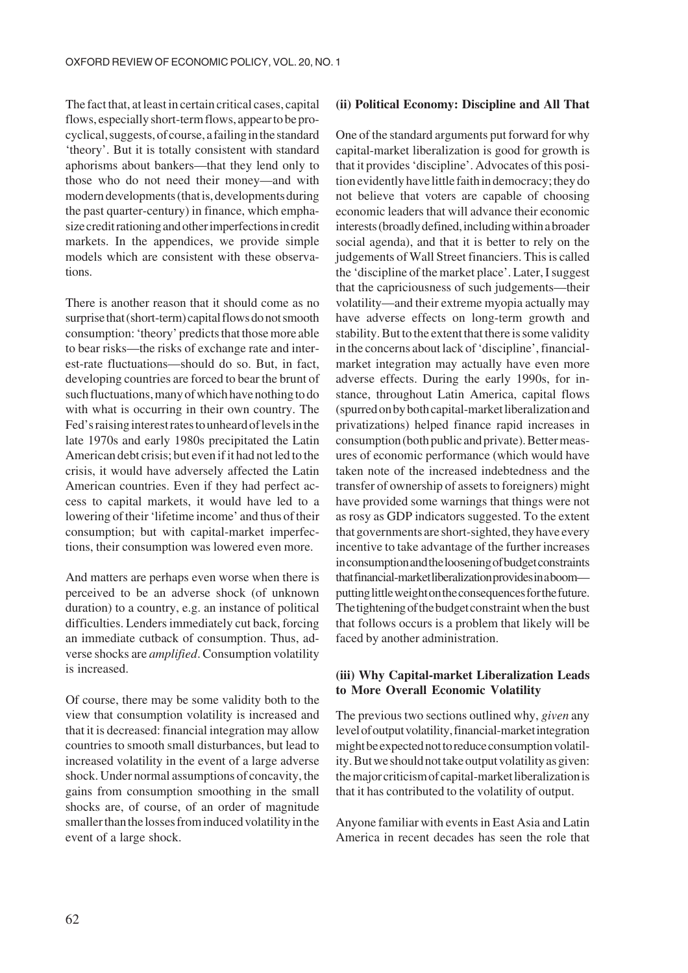The fact that, at least in certain critical cases, capital flows, especially short-term flows, appear to be procyclical, suggests, of course, a failing in the standard 'theory'. But it is totally consistent with standard aphorisms about bankers—that they lend only to those who do not need their money—and with modern developments (that is, developments during the past quarter-century) in finance, which emphasize credit rationing and other imperfections in credit markets. In the appendices, we provide simple models which are consistent with these observations.

There is another reason that it should come as no surprise that (short-term) capital flows do not smooth consumption: 'theory' predicts that those more able to bear risks—the risks of exchange rate and interest-rate fluctuations—should do so. But, in fact, developing countries are forced to bear the brunt of such fluctuations, many of which have nothing to do with what is occurring in their own country. The Fed's raising interest rates to unheard of levels in the late 1970s and early 1980s precipitated the Latin American debt crisis; but even if it had not led to the crisis, it would have adversely affected the Latin American countries. Even if they had perfect access to capital markets, it would have led to a lowering of their 'lifetime income' and thus of their consumption; but with capital-market imperfections, their consumption was lowered even more.

And matters are perhaps even worse when there is perceived to be an adverse shock (of unknown duration) to a country, e.g. an instance of political difficulties. Lenders immediately cut back, forcing an immediate cutback of consumption. Thus, adverse shocks are *amplified*. Consumption volatility is increased.

Of course, there may be some validity both to the view that consumption volatility is increased and that it is decreased: financial integration may allow countries to smooth small disturbances, but lead to increased volatility in the event of a large adverse shock. Under normal assumptions of concavity, the gains from consumption smoothing in the small shocks are, of course, of an order of magnitude smaller than the losses from induced volatility in the event of a large shock.

#### **(ii) Political Economy: Discipline and All That**

One of the standard arguments put forward for why capital-market liberalization is good for growth is that it provides 'discipline'. Advocates of this position evidently have little faith in democracy; they do not believe that voters are capable of choosing economic leaders that will advance their economic interests (broadly defined, including within a broader social agenda), and that it is better to rely on the judgements of Wall Street financiers. This is called the 'discipline of the market place'. Later, I suggest that the capriciousness of such judgements—their volatility—and their extreme myopia actually may have adverse effects on long-term growth and stability. But to the extent that there is some validity in the concerns about lack of 'discipline', financialmarket integration may actually have even more adverse effects. During the early 1990s, for instance, throughout Latin America, capital flows (spurred on by both capital-market liberalization and privatizations) helped finance rapid increases in consumption (both public and private). Better measures of economic performance (which would have taken note of the increased indebtedness and the transfer of ownership of assets to foreigners) might have provided some warnings that things were not as rosy as GDP indicators suggested. To the extent that governments are short-sighted, they have every incentive to take advantage of the further increases in consumption and the loosening of budget constraints that financial-market liberalization provides in a boom putting little weight on the consequences for the future. The tightening of the budget constraint when the bust that follows occurs is a problem that likely will be faced by another administration.

#### **(iii) Why Capital-market Liberalization Leads to More Overall Economic Volatility**

The previous two sections outlined why, *given* any level of output volatility, financial-market integration might be expected not to reduce consumption volatility. But we should not take output volatility as given: the major criticism of capital-market liberalization is that it has contributed to the volatility of output.

Anyone familiar with events in East Asia and Latin America in recent decades has seen the role that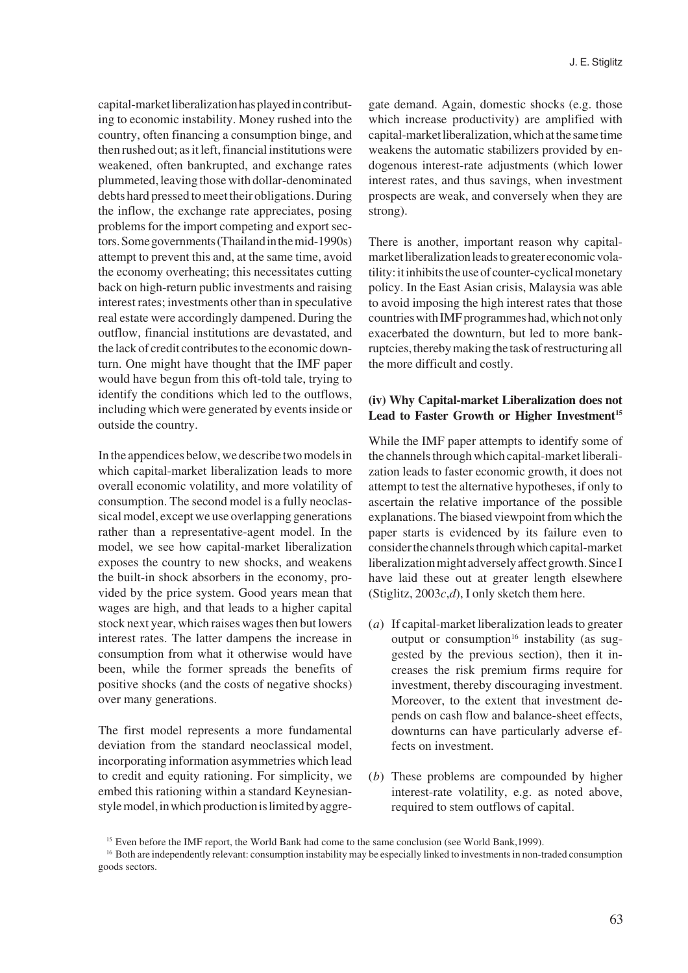capital-market liberalization has played in contributing to economic instability. Money rushed into the country, often financing a consumption binge, and then rushed out; as it left, financial institutions were weakened, often bankrupted, and exchange rates plummeted, leaving those with dollar-denominated debts hard pressed to meet their obligations. During the inflow, the exchange rate appreciates, posing problems for the import competing and export sectors. Some governments (Thailand in the mid-1990s) attempt to prevent this and, at the same time, avoid the economy overheating; this necessitates cutting back on high-return public investments and raising interest rates; investments other than in speculative real estate were accordingly dampened. During the outflow, financial institutions are devastated, and the lack of credit contributes to the economic downturn. One might have thought that the IMF paper would have begun from this oft-told tale, trying to identify the conditions which led to the outflows, including which were generated by events inside or outside the country.

In the appendices below, we describe two models in which capital-market liberalization leads to more overall economic volatility, and more volatility of consumption. The second model is a fully neoclassical model, except we use overlapping generations rather than a representative-agent model. In the model, we see how capital-market liberalization exposes the country to new shocks, and weakens the built-in shock absorbers in the economy, provided by the price system. Good years mean that wages are high, and that leads to a higher capital stock next year, which raises wages then but lowers interest rates. The latter dampens the increase in consumption from what it otherwise would have been, while the former spreads the benefits of positive shocks (and the costs of negative shocks) over many generations.

The first model represents a more fundamental deviation from the standard neoclassical model, incorporating information asymmetries which lead to credit and equity rationing. For simplicity, we embed this rationing within a standard Keynesianstyle model, in which production is limited by aggregate demand. Again, domestic shocks (e.g. those which increase productivity) are amplified with capital-market liberalization, which at the same time weakens the automatic stabilizers provided by endogenous interest-rate adjustments (which lower interest rates, and thus savings, when investment prospects are weak, and conversely when they are strong).

There is another, important reason why capitalmarket liberalization leads to greater economic volatility: it inhibits the use of counter-cyclical monetary policy. In the East Asian crisis, Malaysia was able to avoid imposing the high interest rates that those countries with IMF programmes had, which not only exacerbated the downturn, but led to more bankruptcies, thereby making the task of restructuring all the more difficult and costly.

## **(iv) Why Capital-market Liberalization does not** Lead to Faster Growth or Higher Investment<sup>15</sup>

While the IMF paper attempts to identify some of the channels through which capital-market liberalization leads to faster economic growth, it does not attempt to test the alternative hypotheses, if only to ascertain the relative importance of the possible explanations. The biased viewpoint from which the paper starts is evidenced by its failure even to consider the channels through which capital-market liberalization might adversely affect growth. Since I have laid these out at greater length elsewhere (Stiglitz, 2003*c*,*d*), I only sketch them here.

- (*a*) If capital-market liberalization leads to greater output or consumption $16$  instability (as suggested by the previous section), then it increases the risk premium firms require for investment, thereby discouraging investment. Moreover, to the extent that investment depends on cash flow and balance-sheet effects, downturns can have particularly adverse effects on investment.
- (*b*) These problems are compounded by higher interest-rate volatility, e.g. as noted above, required to stem outflows of capital.

<sup>&</sup>lt;sup>15</sup> Even before the IMF report, the World Bank had come to the same conclusion (see World Bank,1999).

<sup>&</sup>lt;sup>16</sup> Both are independently relevant: consumption instability may be especially linked to investments in non-traded consumption goods sectors.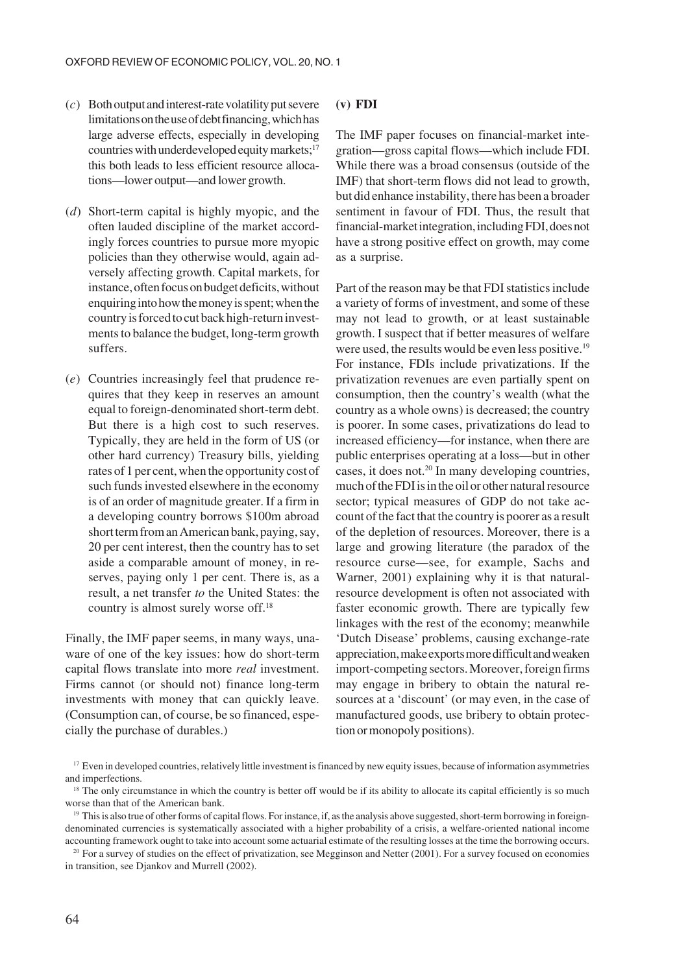- (*c*) Both output and interest-rate volatility put severe limitations on the use of debt financing, which has large adverse effects, especially in developing countries with underdeveloped equity markets;<sup>17</sup> this both leads to less efficient resource allocations—lower output—and lower growth.
- (*d*) Short-term capital is highly myopic, and the often lauded discipline of the market accordingly forces countries to pursue more myopic policies than they otherwise would, again adversely affecting growth. Capital markets, for instance, often focus on budget deficits, without enquiring into how the money is spent; when the country is forced to cut back high-return investments to balance the budget, long-term growth suffers.
- (*e*) Countries increasingly feel that prudence requires that they keep in reserves an amount equal to foreign-denominated short-term debt. But there is a high cost to such reserves. Typically, they are held in the form of US (or other hard currency) Treasury bills, yielding rates of 1 per cent, when the opportunity cost of such funds invested elsewhere in the economy is of an order of magnitude greater. If a firm in a developing country borrows \$100m abroad short term from an American bank, paying, say, 20 per cent interest, then the country has to set aside a comparable amount of money, in reserves, paying only 1 per cent. There is, as a result, a net transfer *to* the United States: the country is almost surely worse off.18

Finally, the IMF paper seems, in many ways, unaware of one of the key issues: how do short-term capital flows translate into more *real* investment. Firms cannot (or should not) finance long-term investments with money that can quickly leave. (Consumption can, of course, be so financed, especially the purchase of durables.)

## **(v) FDI**

The IMF paper focuses on financial-market integration—gross capital flows—which include FDI. While there was a broad consensus (outside of the IMF) that short-term flows did not lead to growth, but did enhance instability, there has been a broader sentiment in favour of FDI. Thus, the result that financial-market integration, including FDI, does not have a strong positive effect on growth, may come as a surprise.

Part of the reason may be that FDI statistics include a variety of forms of investment, and some of these may not lead to growth, or at least sustainable growth. I suspect that if better measures of welfare were used, the results would be even less positive.<sup>19</sup> For instance, FDIs include privatizations. If the privatization revenues are even partially spent on consumption, then the country's wealth (what the country as a whole owns) is decreased; the country is poorer. In some cases, privatizations do lead to increased efficiency—for instance, when there are public enterprises operating at a loss—but in other cases, it does not.20 In many developing countries, much of the FDI is in the oil or other natural resource sector; typical measures of GDP do not take account of the fact that the country is poorer as a result of the depletion of resources. Moreover, there is a large and growing literature (the paradox of the resource curse—see, for example, Sachs and Warner, 2001) explaining why it is that naturalresource development is often not associated with faster economic growth. There are typically few linkages with the rest of the economy; meanwhile 'Dutch Disease' problems, causing exchange-rate appreciation, make exports more difficult and weaken import-competing sectors. Moreover, foreign firms may engage in bribery to obtain the natural resources at a 'discount' (or may even, in the case of manufactured goods, use bribery to obtain protection or monopoly positions).

<sup>&</sup>lt;sup>17</sup> Even in developed countries, relatively little investment is financed by new equity issues, because of information asymmetries and imperfections.

<sup>&</sup>lt;sup>18</sup> The only circumstance in which the country is better off would be if its ability to allocate its capital efficiently is so much worse than that of the American bank.

<sup>&</sup>lt;sup>19</sup> This is also true of other forms of capital flows. For instance, if, as the analysis above suggested, short-term borrowing in foreigndenominated currencies is systematically associated with a higher probability of a crisis, a welfare-oriented national income accounting framework ought to take into account some actuarial estimate of the resulting losses at the time the borrowing occurs.

 $20$  For a survey of studies on the effect of privatization, see Megginson and Netter (2001). For a survey focused on economies in transition, see Djankov and Murrell (2002).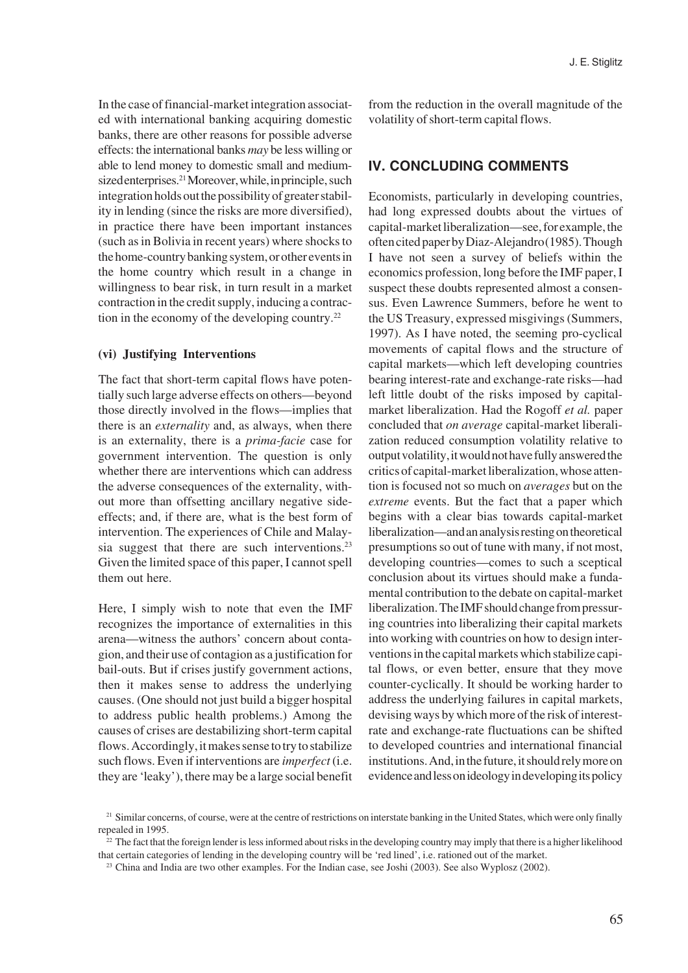In the case of financial-market integration associated with international banking acquiring domestic banks, there are other reasons for possible adverse effects: the international banks *may* be less willing or able to lend money to domestic small and mediumsized enterprises.<sup>21</sup> Moreover, while, in principle, such integration holds out the possibility of greater stability in lending (since the risks are more diversified), in practice there have been important instances (such as in Bolivia in recent years) where shocks to the home-country banking system, or other events in the home country which result in a change in willingness to bear risk, in turn result in a market contraction in the credit supply, inducing a contraction in the economy of the developing country.22

#### **(vi) Justifying Interventions**

The fact that short-term capital flows have potentially such large adverse effects on others—beyond those directly involved in the flows—implies that there is an *externality* and, as always, when there is an externality, there is a *prima-facie* case for government intervention. The question is only whether there are interventions which can address the adverse consequences of the externality, without more than offsetting ancillary negative sideeffects; and, if there are, what is the best form of intervention. The experiences of Chile and Malaysia suggest that there are such interventions.<sup>23</sup> Given the limited space of this paper, I cannot spell them out here.

Here, I simply wish to note that even the IMF recognizes the importance of externalities in this arena—witness the authors' concern about contagion, and their use of contagion as a justification for bail-outs. But if crises justify government actions, then it makes sense to address the underlying causes. (One should not just build a bigger hospital to address public health problems.) Among the causes of crises are destabilizing short-term capital flows. Accordingly, it makes sense to try to stabilize such flows. Even if interventions are *imperfect* (i.e. they are 'leaky'), there may be a large social benefit from the reduction in the overall magnitude of the volatility of short-term capital flows.

## **IV. CONCLUDING COMMENTS**

Economists, particularly in developing countries, had long expressed doubts about the virtues of capital-market liberalization—see, for example, the often cited paper by Diaz-Alejandro(1985). Though I have not seen a survey of beliefs within the economics profession, long before the IMF paper, I suspect these doubts represented almost a consensus. Even Lawrence Summers, before he went to the US Treasury, expressed misgivings (Summers, 1997). As I have noted, the seeming pro-cyclical movements of capital flows and the structure of capital markets—which left developing countries bearing interest-rate and exchange-rate risks—had left little doubt of the risks imposed by capitalmarket liberalization. Had the Rogoff *et al.* paper concluded that *on average* capital-market liberalization reduced consumption volatility relative to output volatility, it would not have fully answered the critics of capital-market liberalization, whose attention is focused not so much on *averages* but on the *extreme* events. But the fact that a paper which begins with a clear bias towards capital-market liberalization—and an analysis resting on theoretical presumptions so out of tune with many, if not most, developing countries—comes to such a sceptical conclusion about its virtues should make a fundamental contribution to the debate on capital-market liberalization. The IMF should change from pressuring countries into liberalizing their capital markets into working with countries on how to design interventions in the capital markets which stabilize capital flows, or even better, ensure that they move counter-cyclically. It should be working harder to address the underlying failures in capital markets, devising ways by which more of the risk of interestrate and exchange-rate fluctuations can be shifted to developed countries and international financial institutions. And, in the future, it should rely more on evidence and less on ideology in developing its policy

<sup>&</sup>lt;sup>21</sup> Similar concerns, of course, were at the centre of restrictions on interstate banking in the United States, which were only finally repealed in 1995.

 $22$  The fact that the foreign lender is less informed about risks in the developing country may imply that there is a higher likelihood that certain categories of lending in the developing country will be 'red lined', i.e. rationed out of the market.

<sup>&</sup>lt;sup>23</sup> China and India are two other examples. For the Indian case, see Joshi (2003). See also Wyplosz (2002).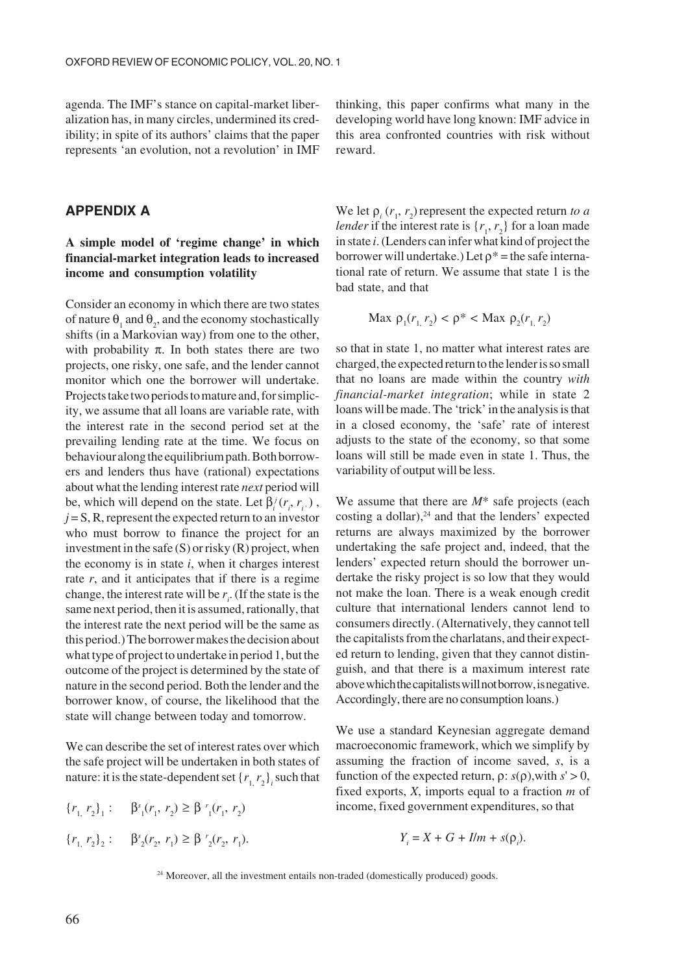agenda. The IMF's stance on capital-market liberalization has, in many circles, undermined its credibility; in spite of its authors' claims that the paper represents 'an evolution, not a revolution' in IMF

## **APPENDIX A**

## **A simple model of 'regime change' in which financial-market integration leads to increased income and consumption volatility**

Consider an economy in which there are two states of nature  $\theta_1$  and  $\theta_2$ , and the economy stochastically shifts (in a Markovian way) from one to the other, with probability  $\pi$ . In both states there are two projects, one risky, one safe, and the lender cannot monitor which one the borrower will undertake. Projects take two periods to mature and, for simplicity, we assume that all loans are variable rate, with the interest rate in the second period set at the prevailing lending rate at the time. We focus on behaviour along the equilibrium path. Both borrowers and lenders thus have (rational) expectations about what the lending interest rate *next* period will be, which will depend on the state. Let  $\beta_i^j(r_i, r_i)$ ,  $j = S$ , R, represent the expected return to an investor who must borrow to finance the project for an investment in the safe  $(S)$  or risky  $(R)$  project, when the economy is in state *i*, when it charges interest rate *r*, and it anticipates that if there is a regime change, the interest rate will be  $r_i$ . (If the state is the same next period, then it is assumed, rationally, that the interest rate the next period will be the same as this period.) The borrower makes the decision about what type of project to undertake in period 1, but the outcome of the project is determined by the state of nature in the second period. Both the lender and the borrower know, of course, the likelihood that the state will change between today and tomorrow.

We can describe the set of interest rates over which the safe project will be undertaken in both states of nature: it is the state-dependent set  $\{r_{1, r_{2}}\}$  such that

$$
\{r_1, r_2\}_1: \quad \beta^s_1(r_1, r_2) \ge \beta^r_1(r_1, r_2)
$$

$$
\{r_1, r_2\}_2: \quad \beta^s_2(r_2, r_1) \ge \beta^r_2(r_2, r_1).
$$

thinking, this paper confirms what many in the developing world have long known: IMF advice in this area confronted countries with risk without reward.

We let  $\rho_i(r_1, r_2)$  represent the expected return *to a lender* if the interest rate is  $\{r_1, r_2\}$  for a loan made in state *i*. (Lenders can infer what kind of project the borrower will undertake.) Let  $\rho^*$  = the safe international rate of return. We assume that state 1 is the bad state, and that

$$
\text{Max } \rho_1(r_1, r_2) < \rho^* < \text{Max } \rho_2(r_1, r_2)
$$

so that in state 1, no matter what interest rates are charged, the expected return to the lender is so small that no loans are made within the country *with financial-market integration*; while in state 2 loans will be made. The 'trick' in the analysis is that in a closed economy, the 'safe' rate of interest adjusts to the state of the economy, so that some loans will still be made even in state 1. Thus, the variability of output will be less.

We assume that there are *M*\* safe projects (each costing a dollar), $24$  and that the lenders' expected returns are always maximized by the borrower undertaking the safe project and, indeed, that the lenders' expected return should the borrower undertake the risky project is so low that they would not make the loan. There is a weak enough credit culture that international lenders cannot lend to consumers directly. (Alternatively, they cannot tell the capitalists from the charlatans, and their expected return to lending, given that they cannot distinguish, and that there is a maximum interest rate above which the capitalists will not borrow, is negative. Accordingly, there are no consumption loans.)

We use a standard Keynesian aggregate demand macroeconomic framework, which we simplify by assuming the fraction of income saved, *s*, is a function of the expected return,  $\rho$ :  $s(\rho)$ , with  $s' > 0$ , fixed exports, *X*, imports equal to a fraction *m* of income, fixed government expenditures, so that

$$
Y_i = X + G + I/m + s(\rho_i).
$$

<sup>&</sup>lt;sup>24</sup> Moreover, all the investment entails non-traded (domestically produced) goods.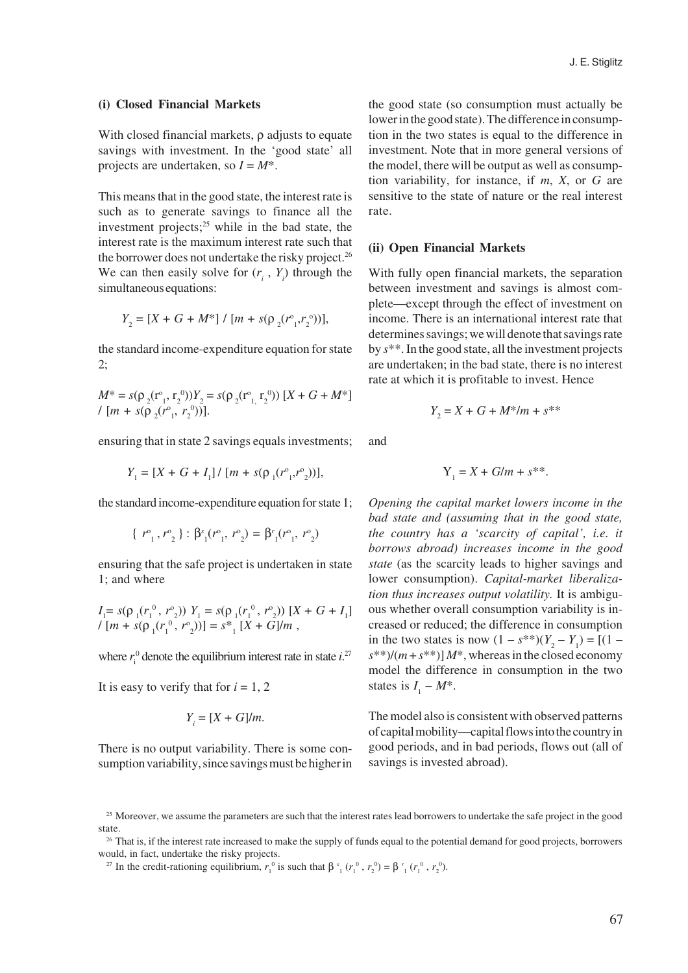#### **(i) Closed Financial Markets**

With closed financial markets, ρ adjusts to equate savings with investment. In the 'good state' all projects are undertaken, so *I* = *M*\*.

This means that in the good state, the interest rate is such as to generate savings to finance all the investment projects; $25$  while in the bad state, the interest rate is the maximum interest rate such that the borrower does not undertake the risky project.<sup>26</sup> We can then easily solve for  $(r_i, Y_i)$  through the simultaneous equations:

$$
Y_2 = [X + G + M^*] / [m + s(\rho_2(r^o_1, r^o_2))],
$$

the standard income-expenditure equation for state 2;

 $M^* = s(\rho_2(\mathbf{r}^{\circ}_1, \mathbf{r}^{\circ}_2))Y_2 = s(\rho_2(\mathbf{r}^{\circ}_1, \mathbf{r}^{\circ}_2)) [X + G + M^*]$  $/ [m + s(\rho_2(r^{\circ}_1, r^{\circ}_2))].$ 

ensuring that in state 2 savings equals investments;

$$
Y_1 = [X + G + I_1] / [m + s(\rho_1(r^o_1, r^o_2))],
$$

the standard income-expenditure equation for state 1;

$$
\{r_{1}^{o}, r_{2}^{o}\} : \beta_{1}^{s}(r_{1}^{o}, r_{2}^{o}) = \beta_{1}^{r}(r_{1}^{o}, r_{2}^{o})
$$

ensuring that the safe project is undertaken in state 1; and where

$$
I_1 = s(\rho_1(r_1^0, r_2^0)) Y_1 = s(\rho_1(r_1^0, r_2^0)) [X + G + I_1]
$$
  

$$
I [m + s(\rho_1(r_1^0, r_2^0))] = s_{1}^{*} [X + G]/m,
$$

where  $r_i^0$  denote the equilibrium interest rate in state  $i$ <sup>27</sup>

It is easy to verify that for  $i = 1, 2$ 

$$
Y_i = [X + G]/m.
$$

There is no output variability. There is some consumption variability, since savings must be higher in the good state (so consumption must actually be lower in the good state). The difference in consumption in the two states is equal to the difference in investment. Note that in more general versions of the model, there will be output as well as consumption variability, for instance, if *m*, *X*, or *G* are sensitive to the state of nature or the real interest rate.

### **(ii) Open Financial Markets**

With fully open financial markets, the separation between investment and savings is almost complete—except through the effect of investment on income. There is an international interest rate that determines savings; we will denote that savings rate by *s*\*\*. In the good state, all the investment projects are undertaken; in the bad state, there is no interest rate at which it is profitable to invest. Hence

$$
Y_2 = X + G + M^* / m + s^{**}
$$

and

$$
Y_1 = X + G/m + s^{**}.
$$

*Opening the capital market lowers income in the bad state and (assuming that in the good state, the country has a 'scarcity of capital', i.e. it borrows abroad) increases income in the good state* (as the scarcity leads to higher savings and lower consumption). *Capital-market liberalization thus increases output volatility.* It is ambiguous whether overall consumption variability is increased or reduced; the difference in consumption in the two states is now  $(1 - s^{**})(Y_2 - Y_1) = [(1 - s^{**})(Y_2 - Y_2)]$  $s^{**}$ / $(m + s^{**})$ ]  $M^*$ , whereas in the closed economy model the difference in consumption in the two states is  $I_1 - M^*$ .

The model also is consistent with observed patterns of capital mobility—capital flows into the country in good periods, and in bad periods, flows out (all of savings is invested abroad).

<sup>&</sup>lt;sup>25</sup> Moreover, we assume the parameters are such that the interest rates lead borrowers to undertake the safe project in the good state.

<sup>&</sup>lt;sup>26</sup> That is, if the interest rate increased to make the supply of funds equal to the potential demand for good projects, borrowers would, in fact, undertake the risky projects.

<sup>&</sup>lt;sup>27</sup> In the credit-rationing equilibrium,  $r_1^0$  is such that  $\beta^{s_1}(r_1^0, r_2^0) = \beta^{r_1}(r_1^0, r_2^0)$ .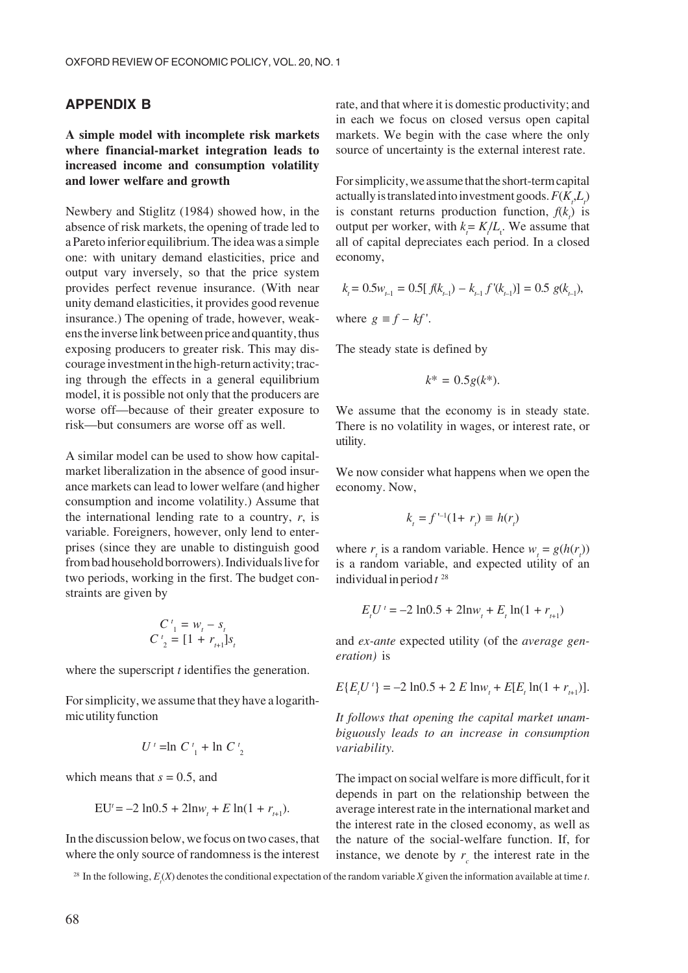#### **APPENDIX B**

## **A simple model with incomplete risk markets where financial-market integration leads to increased income and consumption volatility and lower welfare and growth**

Newbery and Stiglitz (1984) showed how, in the absence of risk markets, the opening of trade led to a Pareto inferior equilibrium. The idea was a simple one: with unitary demand elasticities, price and output vary inversely, so that the price system provides perfect revenue insurance. (With near unity demand elasticities, it provides good revenue insurance.) The opening of trade, however, weakens the inverse link between price and quantity, thus exposing producers to greater risk. This may discourage investment in the high-return activity; tracing through the effects in a general equilibrium model, it is possible not only that the producers are worse off—because of their greater exposure to risk—but consumers are worse off as well.

A similar model can be used to show how capitalmarket liberalization in the absence of good insurance markets can lead to lower welfare (and higher consumption and income volatility.) Assume that the international lending rate to a country, *r*, is variable. Foreigners, however, only lend to enterprises (since they are unable to distinguish good from bad household borrowers). Individuals live for two periods, working in the first. The budget constraints are given by

$$
C_{1}^{t} = w_{t} - s_{t}
$$
  

$$
C_{2}^{t} = [1 + r_{t+1}]s_{t}
$$

where the superscript *t* identifies the generation.

For simplicity, we assume that they have a logarithmic utility function

$$
U^t = \ln C_{1}^t + \ln C_{2}^t
$$

which means that  $s = 0.5$ , and

$$
EU' = -2 \ln 0.5 + 2 \ln w_t + E \ln(1 + r_{t+1}).
$$

In the discussion below, we focus on two cases, that where the only source of randomness is the interest rate, and that where it is domestic productivity; and in each we focus on closed versus open capital markets. We begin with the case where the only source of uncertainty is the external interest rate.

For simplicity, we assume that the short-term capital actually is translated into investment goods.  $F(K_t, L_t)$ is constant returns production function,  $f(k)$  is output per worker, with  $k = K/L$ . We assume that all of capital depreciates each period. In a closed economy,

$$
k_{t} = 0.5w_{t-1} = 0.5[f(k_{t-1}) - k_{t-1} f'(k_{t-1})] = 0.5 g(k_{t-1}),
$$

where  $g \equiv f - kf'$ .

The steady state is defined by

$$
k^* = 0.5g(k^*).
$$

We assume that the economy is in steady state. There is no volatility in wages, or interest rate, or utility.

We now consider what happens when we open the economy. Now,

$$
k_{t} = f^{-1}(1+r_{t}) \equiv h(r_{t})
$$

where  $r<sub>t</sub>$  is a random variable. Hence  $w<sub>t</sub> = g(h(r<sub>t</sub>))$ is a random variable, and expected utility of an individual in period  $t^{28}$ 

$$
E_t U^t = -2 \ln 0.5 + 2 \ln w_t + E_t \ln (1 + r_{t+1})
$$

and *ex-ante* expected utility (of the *average generation)* is

$$
E\{E_t U^t\} = -2 \ln 0.5 + 2 E \ln w_t + E[E_t \ln(1 + r_{t+1})].
$$

*It follows that opening the capital market unambiguously leads to an increase in consumption variability.*

The impact on social welfare is more difficult, for it depends in part on the relationship between the average interest rate in the international market and the interest rate in the closed economy, as well as the nature of the social-welfare function. If, for instance, we denote by  $r_c$  the interest rate in the

<sup>28</sup> In the following,  $E_t(X)$  denotes the conditional expectation of the random variable *X* given the information available at time *t*.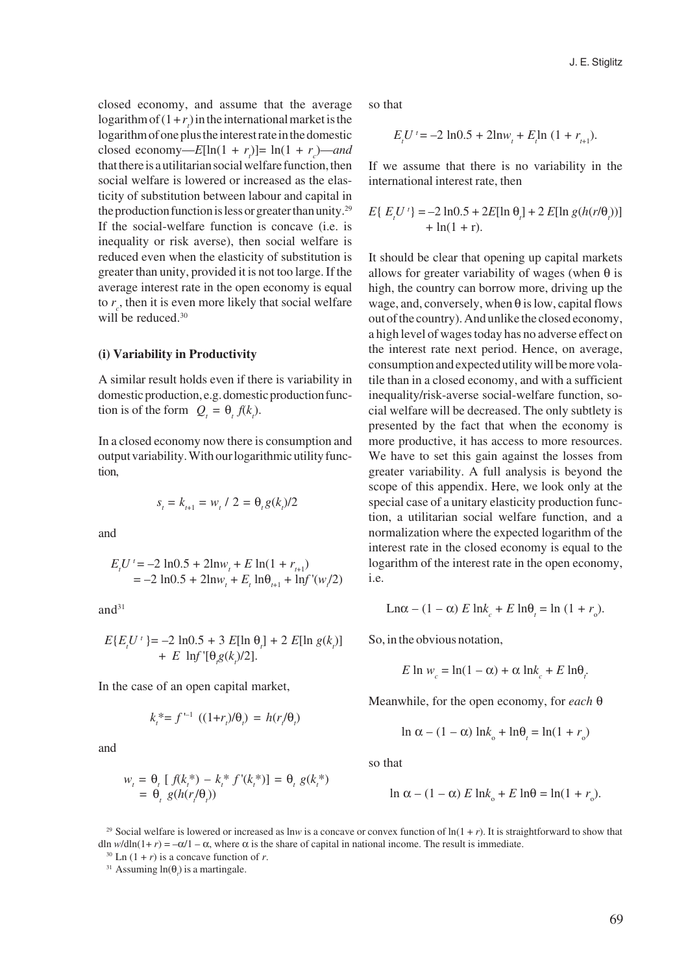closed economy, and assume that the average logarithm of  $(1 + r_i)$  in the international market is the logarithm of one plus the interest rate in the domestic closed economy—*E*[ln(1 + *r<sub>t</sub>*)]= ln(1 + *r<sub>t</sub>*)—*and* that there is a utilitarian social welfare function, then social welfare is lowered or increased as the elasticity of substitution between labour and capital in the production function is less or greater than unity.<sup>29</sup> If the social-welfare function is concave (i.e. is inequality or risk averse), then social welfare is reduced even when the elasticity of substitution is greater than unity, provided it is not too large. If the average interest rate in the open economy is equal to  $r_c$ , then it is even more likely that social welfare will be reduced.<sup>30</sup>

#### **(i) Variability in Productivity**

A similar result holds even if there is variability in domestic production, e.g. domestic production function is of the form  $Q_t = \theta_t f(k_t)$ .

In a closed economy now there is consumption and output variability. With our logarithmic utility function,

$$
s_{t} = k_{t+1} = w_{t} / 2 = \theta_{t} g(k_{t}) / 2
$$

and

$$
E_t U' = -2 \ln 0.5 + 2 \ln w_t + E \ln(1 + r_{t+1})
$$
  
= -2 \ln 0.5 + 2 \ln w\_t + E\_t \ln \theta\_{t+1} + \ln f'(w/2)

and $31$ 

$$
E\{E_i U^i\} = -2 \ln 0.5 + 3 E[\ln \theta_i] + 2 E[\ln g(k_i)] + E \ln f'[\theta_i g(k_i)/2].
$$

In the case of an open capital market,

$$
k_t^* = f^{-1} ((1+r_t)/\theta_t) = h(r/\theta_t)
$$

and

$$
w_t = \theta_t [f(k_t^*) - k_t^* f'(k_t^*)] = \theta_t g(k_t^*)
$$
  
= 
$$
\theta_t g(h(r/\theta_t))
$$

so that

$$
E_t U^t = -2 \ln 0.5 + 2 \ln w_t + E_t \ln (1 + r_{t+1}).
$$

If we assume that there is no variability in the international interest rate, then

$$
E\{ E_i U^i \} = -2 \ln 0.5 + 2E[\ln \theta_i] + 2 E[\ln g(h(r/\theta_i))]
$$
  
+  $\ln(1 + r)$ .

It should be clear that opening up capital markets allows for greater variability of wages (when  $\theta$  is high, the country can borrow more, driving up the wage, and, conversely, when  $\theta$  is low, capital flows out of the country). And unlike the closed economy, a high level of wages today has no adverse effect on the interest rate next period. Hence, on average, consumption and expected utility will be more volatile than in a closed economy, and with a sufficient inequality/risk-averse social-welfare function, social welfare will be decreased. The only subtlety is presented by the fact that when the economy is more productive, it has access to more resources. We have to set this gain against the losses from greater variability. A full analysis is beyond the scope of this appendix. Here, we look only at the special case of a unitary elasticity production function, a utilitarian social welfare function, and a normalization where the expected logarithm of the interest rate in the closed economy is equal to the logarithm of the interest rate in the open economy, i.e.

$$
\text{Ln}\alpha - (1 - \alpha) E \ln k_c + E \ln \theta_t = \ln (1 + r_o).
$$

So, in the obvious notation,

$$
E \ln w_c = \ln(1 - \alpha) + \alpha \ln k_c + E \ln \theta_i
$$

Meanwhile, for the open economy, for *each* θ

$$
\ln \alpha - (1 - \alpha) \ln k_{0} + \ln \theta_{t} = \ln(1 + r_{0})
$$

so that

$$
\ln \alpha - (1 - \alpha) E \ln k_{0} + E \ln \theta = \ln(1 + r_{0}).
$$

<sup>29</sup> Social welfare is lowered or increased as lnw is a concave or convex function of  $ln(1 + r)$ . It is straightforward to show that dln  $w/d\ln(1+r) = -\alpha/1 - \alpha$ , where  $\alpha$  is the share of capital in national income. The result is immediate.

 $30$  Ln  $(1 + r)$  is a concave function of *r*.

<sup>31</sup> Assuming  $ln(\theta_i)$  is a martingale.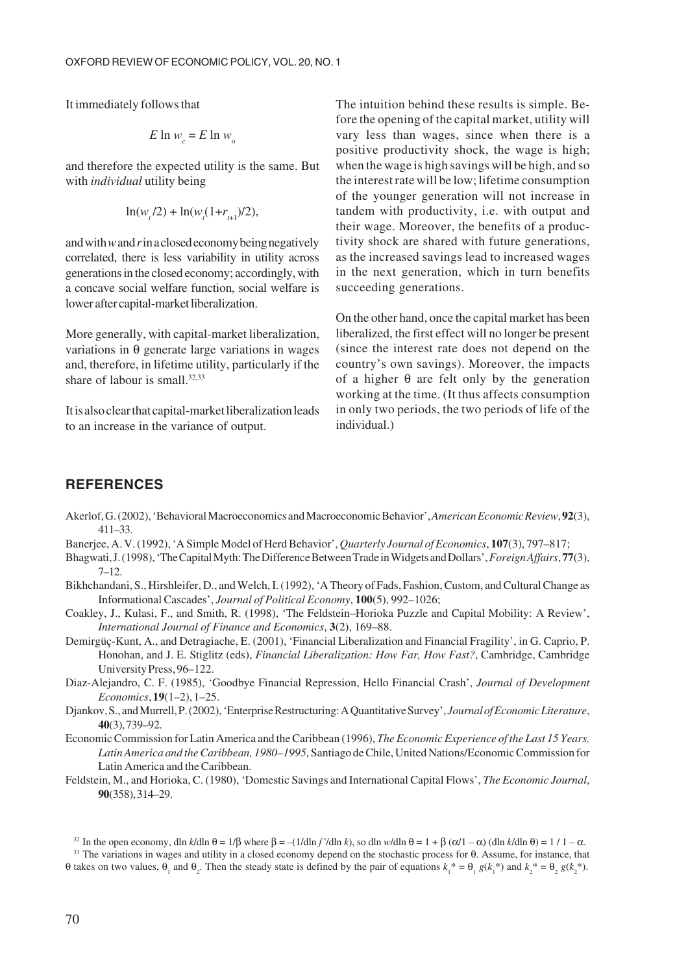It immediately follows that

$$
E \ln w_c = E \ln w_o
$$

and therefore the expected utility is the same. But with *individual* utility being

$$
\ln(w_t/2) + \ln(w_t(1+r_{t+1})/2),
$$

and with *w* and *r* in a closed economy being negatively correlated, there is less variability in utility across generations in the closed economy; accordingly, with a concave social welfare function, social welfare is lower after capital-market liberalization.

More generally, with capital-market liberalization, variations in θ generate large variations in wages and, therefore, in lifetime utility, particularly if the share of labour is small. $32,33$ 

It is also clear that capital-market liberalization leads to an increase in the variance of output.

The intuition behind these results is simple. Before the opening of the capital market, utility will vary less than wages, since when there is a positive productivity shock, the wage is high; when the wage is high savings will be high, and so the interest rate will be low; lifetime consumption of the younger generation will not increase in tandem with productivity, i.e. with output and their wage. Moreover, the benefits of a productivity shock are shared with future generations, as the increased savings lead to increased wages in the next generation, which in turn benefits succeeding generations.

On the other hand, once the capital market has been liberalized, the first effect will no longer be present (since the interest rate does not depend on the country's own savings). Moreover, the impacts of a higher θ are felt only by the generation working at the time. (It thus affects consumption in only two periods, the two periods of life of the individual.)

## **REFERENCES**

- Akerlof, G. (2002), 'Behavioral Macroeconomics and Macroeconomic Behavior', *American Economic Review*, **92**(3), 411–33.
- Banerjee, A. V. (1992), 'A Simple Model of Herd Behavior', *Quarterly Journal of Economics*, **107**(3), 797–817;
- Bhagwati, J. (1998), 'The Capital Myth: The Difference Between Trade in Widgets and Dollars', *Foreign Affairs*, **77**(3), 7–12.
- Bikhchandani, S., Hirshleifer, D., and Welch, I. (1992), 'A Theory of Fads, Fashion, Custom, and Cultural Change as Informational Cascades', *Journal of Political Economy*, **100**(5), 992–1026;
- Coakley, J., Kulasi, F., and Smith, R. (1998), 'The Feldstein–Horioka Puzzle and Capital Mobility: A Review', *International Journal of Finance and Economics*, **3**(2), 169–88.
- Demirgüç-Kunt, A., and Detragiache, E. (2001), 'Financial Liberalization and Financial Fragility', in G. Caprio, P. Honohan, and J. E. Stiglitz (eds), *Financial Liberalization: How Far, How Fast?*, Cambridge, Cambridge University Press, 96–122.
- Diaz-Alejandro, C. F. (1985), 'Goodbye Financial Repression, Hello Financial Crash', *Journal of Development Economics*, **19**(1–2), 1–25.
- Djankov, S., and Murrell, P. (2002), 'Enterprise Restructuring: A Quantitative Survey', *Journal of Economic Literature*, **40**(3), 739–92.
- Economic Commission for Latin America and the Caribbean (1996), *The Economic Experience of the Last 15 Years. Latin America and the Caribbean, 1980–1995*, Santiago de Chile, United Nations/Economic Commission for Latin America and the Caribbean.
- Feldstein, M., and Horioka, C. (1980), 'Domestic Savings and International Capital Flows', *The Economic Journal*, **90**(358), 314–29.

<sup>32</sup> In the open economy, dln *k*/dln θ = 1/β where β = –(1/dln *f* '/dln *k*), so dln *w*/dln θ = 1 + β (α/1 – α) (dln *k*/dln θ) = 1 / 1 – α. <sup>33</sup> The variations in wages and utility in a closed economy depend on the stochastic process for θ. Assume, for instance, that θ takes on two values,  $θ_1$  and  $θ_2$ . Then the steady state is defined by the pair of equations  $k_1^* = θ_1 g(k_1^*)$  and  $k_2^* = θ_2 g(k_2^*)$ .